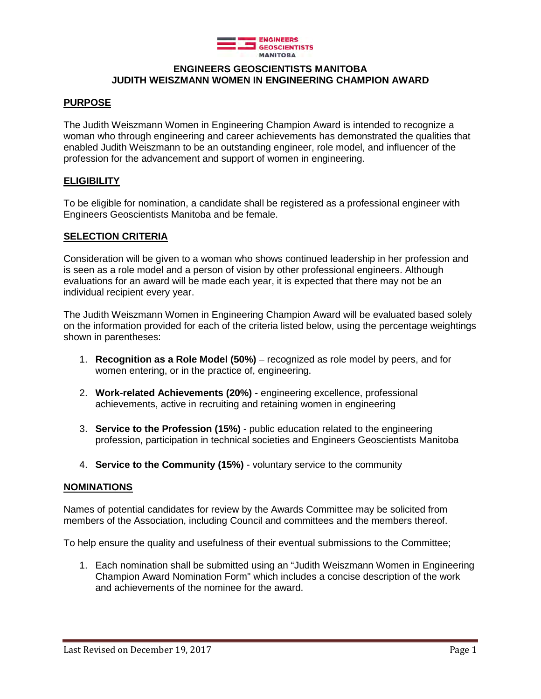

## **ENGINEERS GEOSCIENTISTS MANITOBA JUDITH WEISZMANN WOMEN IN ENGINEERING CHAMPION AWARD**

## **PURPOSE**

The Judith Weiszmann Women in Engineering Champion Award is intended to recognize a woman who through engineering and career achievements has demonstrated the qualities that enabled Judith Weiszmann to be an outstanding engineer, role model, and influencer of the profession for the advancement and support of women in engineering.

## **ELIGIBILITY**

To be eligible for nomination, a candidate shall be registered as a professional engineer with Engineers Geoscientists Manitoba and be female.

#### **SELECTION CRITERIA**

Consideration will be given to a woman who shows continued leadership in her profession and is seen as a role model and a person of vision by other professional engineers. Although evaluations for an award will be made each year, it is expected that there may not be an individual recipient every year.

The Judith Weiszmann Women in Engineering Champion Award will be evaluated based solely on the information provided for each of the criteria listed below, using the percentage weightings shown in parentheses:

- 1. **Recognition as a Role Model (50%)** recognized as role model by peers, and for women entering, or in the practice of, engineering.
- 2. **Work-related Achievements (20%)**  engineering excellence, professional achievements, active in recruiting and retaining women in engineering
- 3. **Service to the Profession (15%)** public education related to the engineering profession, participation in technical societies and Engineers Geoscientists Manitoba
- 4. **Service to the Community (15%)**  voluntary service to the community

#### **NOMINATIONS**

Names of potential candidates for review by the Awards Committee may be solicited from members of the Association, including Council and committees and the members thereof.

To help ensure the quality and usefulness of their eventual submissions to the Committee;

1. Each nomination shall be submitted using an "Judith Weiszmann Women in Engineering Champion Award Nomination Form" which includes a concise description of the work and achievements of the nominee for the award.